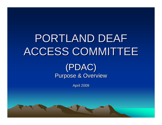# PORTLAND DEAF ACCESS COMMITTEE

#### (PDAC) Purpose & Overview

**April 2009**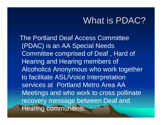### What is PDAC?

The Portland Deaf Access Committee (PDAC) is an AA Special Needs Committee comprised of Deaf , Hard of Hearing and Hearing members of Alcoholics Anonymous who work together to facilitate ASL/Voice Interpretation services at Portland Metro Area AA Meetings and who work to cross pollinate recovery message between Deaf and Hearing communities.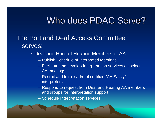### Who does PDAC Serve?

#### The Portland Deaf Access Committee serves:

- Deaf and Hard of Hearing Members of AA.
	- Publish Schedule of Interpreted Meetings
	- Facilitate and develop Interpretation services as select AA meetings
	- Recruit and train cadre of certified "AA Savvy" interpreters
	- Respond to request from Deaf and Hearing AA members and groups for Interpretation support
	- Schedule Interpretation services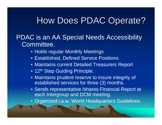# How Does PDAC Operate?

PDAC is an AA Special Needs Accessibility Committee.

- Holds regular Monthly Meetings
- Established, Defined Service Positions
- Maintains current Detailed Treasurers Report
- 12<sup>th</sup> Step Guiding Principle.
- Maintains prudent reserve to insure integrity of established services for three (3) months.
- Sends representative /shares Financial Report at each Intergroup and DCM meeting.
- Organized i.a.w. World Headquarters Guidelines.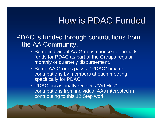# How is PDAC Funded

PDAC is funded through contributions from the AA Community.

- Some individual AA Groups choose to earmark funds for PDAC as part of the Groups regular monthly or quarterly disbursement.
- Some AA Groups pass a "PDAC" box for contributions by members at each meeting specifically for PDAC
- PDAC occasionally receives "Ad Hoc" contributions from individual AAs interested in contributing to this 12 Step work.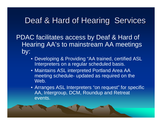#### Deaf & Hard of Hearing Services

PDAC facilitates access by Deaf & Hard of Hearing AA's to mainstream AA meetings by:

- Developing & Providing "AA trained, certified ASL Interpreters on a regular scheduled basis.
- Maintains ASL interpreted Portland Area AA meeting schedule- updated as required on the Web.
- Arranges ASL Interpreters "on request" for specific AA, Intergroup, DCM, Roundup and Retreat events.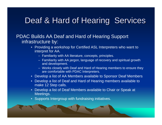#### Deaf & Hard of Hearing Services

PDAC Builds AA Deaf and Hard of Hearing Support infrastructure by:

- Providing a workshop for Certified ASL Interpreters who want to interpret for AA.
	- Familiarity with AA literature, concepts, principles.
	- Familiarity with AA jargon, language of recovery and spiritual growth and development.
	- Works closely with Deaf and Hard of Hearing members to ensure they are comfortable with PDAC Interpreters.
- Develop a list of AA Members available to Sponsor Deaf Members
- Develop a list of Deaf and Hard of Hearing members available to make 12 Step calls.
- Develop a list of Deaf Members available to Chair or Speak at Meetings.
- Supports Intergroup with fundraising initiatives.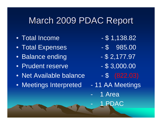# March 2009 PDAC Report

- Total Income \$1,138.82
- Total Expenses \$ 985.00
- Balance ending  $-$  \$ 2,177.97
- Prudent reserve \$3,000.00
- Net Available balance \$ (822.03)
- Meetings Interpreted 11 AA Meetings
- 
- 
- 
- 
- 
- - 1 Ar ea
		- $\mathop{\rm AC}\nolimits$